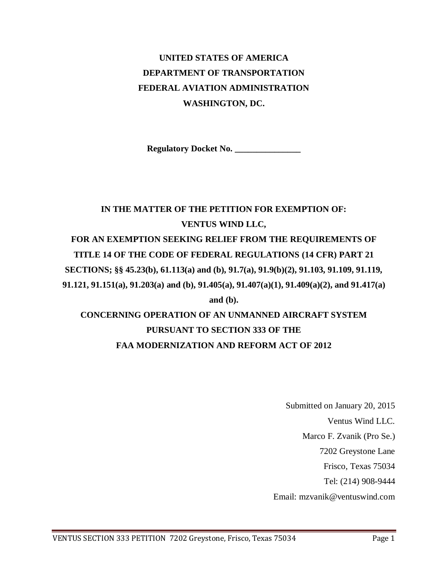# **UNITED STATES OF AMERICA DEPARTMENT OF TRANSPORTATION FEDERAL AVIATION ADMINISTRATION WASHINGTON, DC.**

**Regulatory Docket No. \_\_\_\_\_\_\_\_\_\_\_\_\_\_\_**

# **IN THE MATTER OF THE PETITION FOR EXEMPTION OF: VENTUS WIND LLC, FOR AN EXEMPTION SEEKING RELIEF FROM THE REQUIREMENTS OF TITLE 14 OF THE CODE OF FEDERAL REGULATIONS (14 CFR) PART 21 SECTIONS; §§ 45.23(b), 61.113(a) and (b), 91.7(a), 91.9(b)(2), 91.103, 91.109, 91.119, 91.121, 91.151(a), 91.203(a) and (b), 91.405(a), 91.407(a)(1), 91.409(a)(2), and 91.417(a) and (b). CONCERNING OPERATION OF AN UNMANNED AIRCRAFT SYSTEM PURSUANT TO SECTION 333 OF THE**

# **FAA MODERNIZATION AND REFORM ACT OF 2012**

Submitted on January 20, 2015 Ventus Wind LLC. Marco F. Zvanik (Pro Se.) 7202 Greystone Lane Frisco, Texas 75034 Tel: (214) 908-9444 Email: mzvanik@ventuswind.com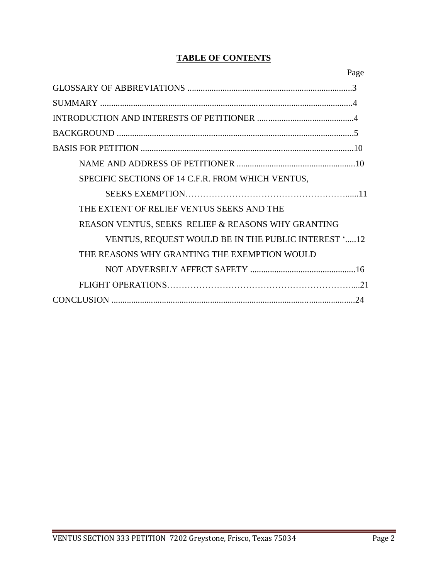# **TABLE OF CONTENTS**

| Page                                                |
|-----------------------------------------------------|
|                                                     |
|                                                     |
|                                                     |
|                                                     |
|                                                     |
|                                                     |
| SPECIFIC SECTIONS OF 14 C.F.R. FROM WHICH VENTUS,   |
|                                                     |
| THE EXTENT OF RELIEF VENTUS SEEKS AND THE           |
| REASON VENTUS, SEEKS RELIEF & REASONS WHY GRANTING  |
| VENTUS, REQUEST WOULD BE IN THE PUBLIC INTEREST '12 |
| THE REASONS WHY GRANTING THE EXEMPTION WOULD        |
|                                                     |
|                                                     |
| 24                                                  |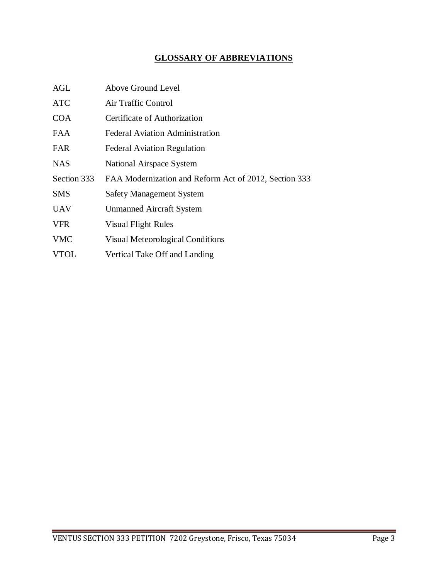# **GLOSSARY OF ABBREVIATIONS**

| <b>AGL</b>  | Above Ground Level                                    |
|-------------|-------------------------------------------------------|
| <b>ATC</b>  | Air Traffic Control                                   |
| <b>COA</b>  | Certificate of Authorization                          |
| <b>FAA</b>  | <b>Federal Aviation Administration</b>                |
| <b>FAR</b>  | <b>Federal Aviation Regulation</b>                    |
| <b>NAS</b>  | National Airspace System                              |
|             |                                                       |
| Section 333 | FAA Modernization and Reform Act of 2012, Section 333 |
| <b>SMS</b>  | <b>Safety Management System</b>                       |
| <b>UAV</b>  | <b>Unmanned Aircraft System</b>                       |
| <b>VFR</b>  | <b>Visual Flight Rules</b>                            |
| <b>VMC</b>  | <b>Visual Meteorological Conditions</b>               |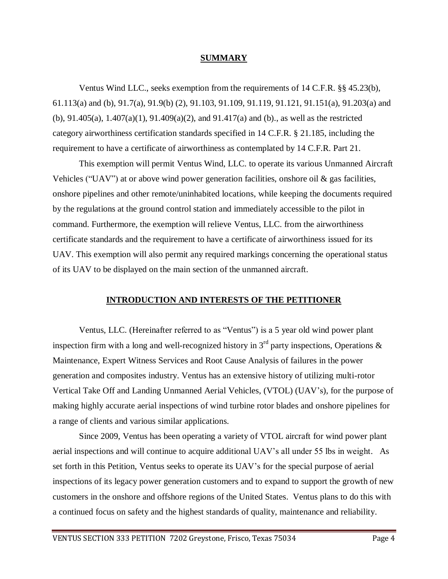### **SUMMARY**

Ventus Wind LLC., seeks exemption from the requirements of 14 C.F.R. §§ 45.23(b), 61.113(a) and (b), 91.7(a), 91.9(b) (2), 91.103, 91.109, 91.119, 91.121, 91.151(a), 91.203(a) and (b), 91.405(a), 1.407(a)(1), 91.409(a)(2), and 91.417(a) and (b)., as well as the restricted category airworthiness certification standards specified in 14 C.F.R. § 21.185, including the requirement to have a certificate of airworthiness as contemplated by 14 C.F.R. Part 21.

This exemption will permit Ventus Wind, LLC. to operate its various Unmanned Aircraft Vehicles ("UAV") at or above wind power generation facilities, onshore oil  $\&$  gas facilities, onshore pipelines and other remote/uninhabited locations, while keeping the documents required by the regulations at the ground control station and immediately accessible to the pilot in command. Furthermore, the exemption will relieve Ventus, LLC. from the airworthiness certificate standards and the requirement to have a certificate of airworthiness issued for its UAV. This exemption will also permit any required markings concerning the operational status of its UAV to be displayed on the main section of the unmanned aircraft.

## **INTRODUCTION AND INTERESTS OF THE PETITIONER**

Ventus, LLC. (Hereinafter referred to as "Ventus") is a 5 year old wind power plant inspection firm with a long and well-recognized history in  $3<sup>rd</sup>$  party inspections, Operations & Maintenance, Expert Witness Services and Root Cause Analysis of failures in the power generation and composites industry. Ventus has an extensive history of utilizing multi-rotor Vertical Take Off and Landing Unmanned Aerial Vehicles, (VTOL) (UAV's), for the purpose of making highly accurate aerial inspections of wind turbine rotor blades and onshore pipelines for a range of clients and various similar applications.

Since 2009, Ventus has been operating a variety of VTOL aircraft for wind power plant aerial inspections and will continue to acquire additional UAV's all under 55 lbs in weight. As set forth in this Petition, Ventus seeks to operate its UAV's for the special purpose of aerial inspections of its legacy power generation customers and to expand to support the growth of new customers in the onshore and offshore regions of the United States. Ventus plans to do this with a continued focus on safety and the highest standards of quality, maintenance and reliability.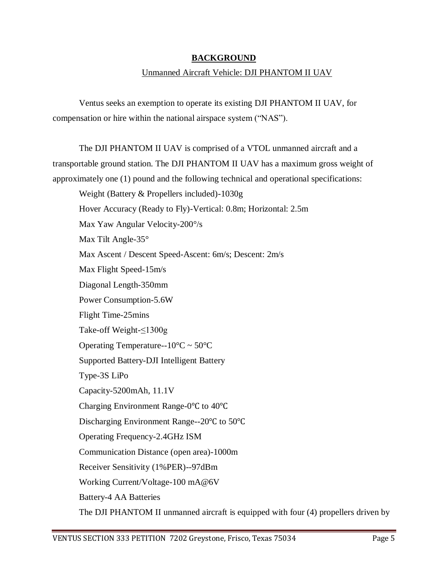# **BACKGROUND**

# Unmanned Aircraft Vehicle: DJI PHANTOM II UAV

Ventus seeks an exemption to operate its existing DJI PHANTOM II UAV, for compensation or hire within the national airspace system ("NAS").

The DJI PHANTOM II UAV is comprised of a VTOL unmanned aircraft and a transportable ground station. The DJI PHANTOM II UAV has a maximum gross weight of approximately one (1) pound and the following technical and operational specifications:

Weight (Battery & Propellers included)-1030g Hover Accuracy (Ready to Fly)-Vertical: 0.8m; Horizontal: 2.5m Max Yaw Angular Velocity-200°/s Max Tilt Angle-35° Max Ascent / Descent Speed-Ascent: 6m/s; Descent: 2m/s Max Flight Speed-15m/s Diagonal Length-350mm Power Consumption-5.6W Flight Time-25mins Take-off Weight-≤1300g Operating Temperature-- $10^{\circ}$ C ~  $50^{\circ}$ C Supported Battery-DJI Intelligent Battery Type-3S LiPo Capacity-5200mAh, 11.1V Charging Environment Range-0℃ to 40℃ Discharging Environment Range--20℃ to 50℃ Operating Frequency-2.4GHz ISM Communication Distance (open area)-1000m Receiver Sensitivity (1%PER)--97dBm Working Current/Voltage-100 mA@6V Battery-4 AA Batteries The DJI PHANTOM II unmanned aircraft is equipped with four (4) propellers driven by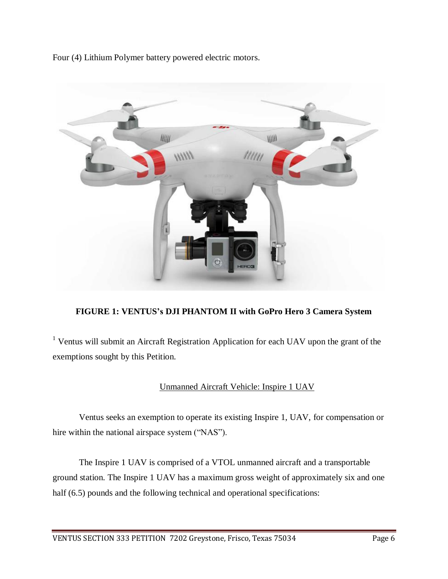Four (4) Lithium Polymer battery powered electric motors.



# **FIGURE 1: VENTUS's DJI PHANTOM II with GoPro Hero 3 Camera System**

<sup>1</sup> Ventus will submit an Aircraft Registration Application for each UAV upon the grant of the exemptions sought by this Petition.

# Unmanned Aircraft Vehicle: Inspire 1 UAV

Ventus seeks an exemption to operate its existing Inspire 1, UAV, for compensation or hire within the national airspace system ("NAS").

The Inspire 1 UAV is comprised of a VTOL unmanned aircraft and a transportable ground station. The Inspire 1 UAV has a maximum gross weight of approximately six and one half (6.5) pounds and the following technical and operational specifications: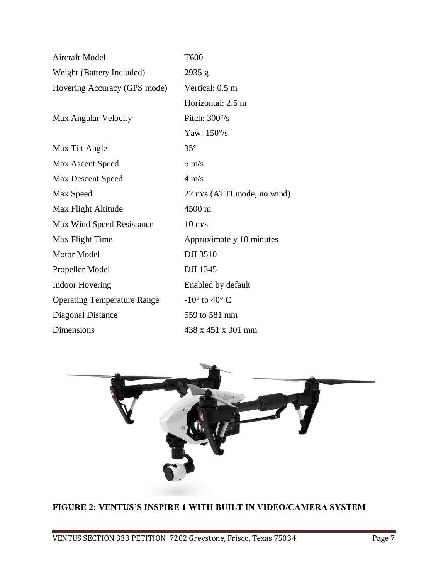| Aircraft Model                     | T600                            |
|------------------------------------|---------------------------------|
| Weight (Battery Included)          | 2935 g                          |
| Hovering Accuracy (GPS mode)       | Vertical: 0.5 m                 |
|                                    | Horizontal: 2.5 m               |
| Max Angular Velocity               | Pitch: $300\%$                  |
|                                    | Yaw: $150^{\circ}/s$            |
| Max Tilt Angle                     | $35^{\circ}$                    |
| Max Ascent Speed                   | $5 \text{ m/s}$                 |
| <b>Max Descent Speed</b>           | $4 \text{ m/s}$                 |
| Max Speed                          | 22 m/s (ATTI mode, no wind)     |
| Max Flight Altitude                | 4500 m                          |
| Max Wind Speed Resistance          | $10 \text{ m/s}$                |
| Max Flight Time                    | Approximately 18 minutes        |
| Motor Model                        | <b>DJI 3510</b>                 |
| Propeller Model                    | <b>DJI</b> 1345                 |
| <b>Indoor Hovering</b>             | Enabled by default              |
| <b>Operating Temperature Range</b> | $-10^{\circ}$ to $40^{\circ}$ C |
| Diagonal Distance                  | 559 to 581 mm                   |
| Dimensions                         | 438 x 451 x 301 mm              |



# **FIGURE 2: VENTUS'S INSPIRE 1 WITH BUILT IN VIDEO/CAMERA SYSTEM**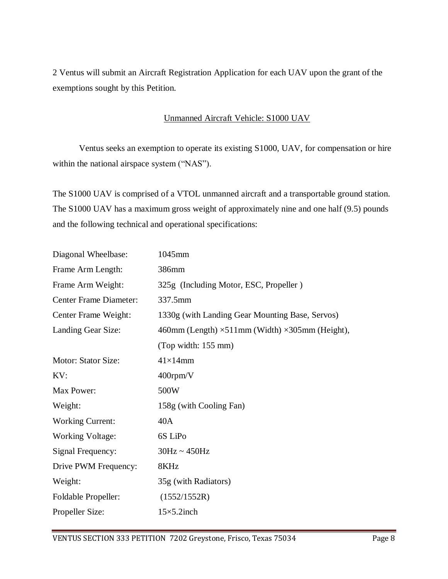2 Ventus will submit an Aircraft Registration Application for each UAV upon the grant of the exemptions sought by this Petition.

# Unmanned Aircraft Vehicle: S1000 UAV

Ventus seeks an exemption to operate its existing S1000, UAV, for compensation or hire within the national airspace system ("NAS").

The S1000 UAV is comprised of a VTOL unmanned aircraft and a transportable ground station. The S1000 UAV has a maximum gross weight of approximately nine and one half (9.5) pounds and the following technical and operational specifications:

| Diagonal Wheelbase:           | 1045mm                                                         |
|-------------------------------|----------------------------------------------------------------|
| Frame Arm Length:             | 386mm                                                          |
| Frame Arm Weight:             | 325g (Including Motor, ESC, Propeller)                         |
| <b>Center Frame Diameter:</b> | 337.5mm                                                        |
| Center Frame Weight:          | 1330g (with Landing Gear Mounting Base, Servos)                |
| Landing Gear Size:            | 460mm (Length) $\times$ 511mm (Width) $\times$ 305mm (Height), |
|                               | (Top width: 155 mm)                                            |
| Motor: Stator Size:           | $41\times14$ mm                                                |
| KV:                           | 400rpm/V                                                       |
| Max Power:                    | 500W                                                           |
| Weight:                       | 158g (with Cooling Fan)                                        |
| <b>Working Current:</b>       | 40A                                                            |
| <b>Working Voltage:</b>       | 6S LiPo                                                        |
| Signal Frequency:             | $30Hz \sim 450Hz$                                              |
| Drive PWM Frequency:          | 8KHz                                                           |
| Weight:                       | 35g (with Radiators)                                           |
| <b>Foldable Propeller:</b>    | (1552/1552R)                                                   |
| Propeller Size:               | $15\times5.2$ inch                                             |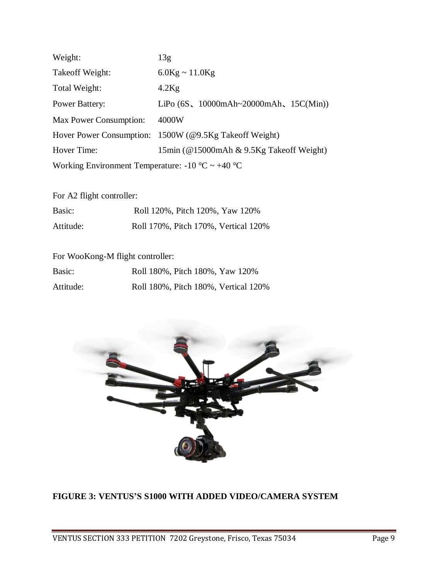| Weight:                                          | 13g                                                                                          |  |
|--------------------------------------------------|----------------------------------------------------------------------------------------------|--|
| Take of f Weight:                                | $6.0$ Kg ~ 11.0Kg                                                                            |  |
| Total Weight:                                    | $4.2$ Kg                                                                                     |  |
| <b>Power Battery:</b>                            | LiPo $(6S, 10000 \text{m} \text{Ah} \sim 20000 \text{m} \text{Ah}, 15 \text{C}(\text{Min}))$ |  |
| Max Power Consumption:                           | 4000W                                                                                        |  |
|                                                  | Hover Power Consumption: 1500W (@9.5Kg Takeoff Weight)                                       |  |
| Hover Time:                                      | 15min (@15000mAh & 9.5Kg Takeoff Weight)                                                     |  |
| Working Environment Temperature: -10 °C ~ +40 °C |                                                                                              |  |

For A2 flight controller:

| Basic:    | Roll 120%, Pitch 120%, Yaw 120%      |
|-----------|--------------------------------------|
| Attitude: | Roll 170%, Pitch 170%, Vertical 120% |

# For WooKong-M flight controller:

| Basic:    | Roll 180%, Pitch 180%, Yaw 120%      |
|-----------|--------------------------------------|
| Attitude: | Roll 180%, Pitch 180%, Vertical 120% |



# **FIGURE 3: VENTUS'S S1000 WITH ADDED VIDEO/CAMERA SYSTEM**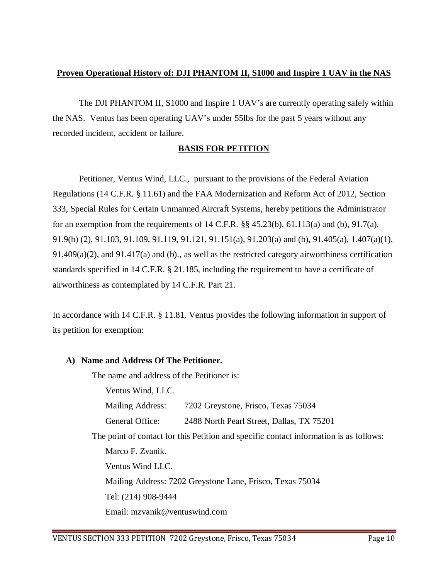# **Proven Operational History of: DJI PHANTOM II, S1000 and Inspire 1 UAV in the NAS**

The DJI PHANTOM II, S1000 and Inspire 1 UAV's are currently operating safely within the NAS. Ventus has been operating UAV's under 55lbs for the past 5 years without any recorded incident, accident or failure.

# **BASIS FOR PETITION**

Petitioner, Ventus Wind, LLC., pursuant to the provisions of the Federal Aviation Regulations (14 C.F.R. § 11.61) and the FAA Modernization and Reform Act of 2012, Section 333, Special Rules for Certain Unmanned Aircraft Systems, hereby petitions the Administrator for an exemption from the requirements of 14 C.F.R.  $\S$  45.23(b), 61.113(a) and (b), 91.7(a), 91.9(b) (2), 91.103, 91.109, 91.119, 91.121, 91.151(a), 91.203(a) and (b), 91.405(a), 1.407(a)(1),  $91.409(a)(2)$ , and  $91.417(a)$  and (b)., as well as the restricted category airworthiness certification standards specified in 14 C.F.R. § 21.185, including the requirement to have a certificate of airworthiness as contemplated by 14 C.F.R. Part 21.

In accordance with 14 C.F.R. § 11.81, Ventus provides the following information in support of its petition for exemption:

# **A) Name and Address Of The Petitioner.**

The name and address of the Petitioner is:

Ventus Wind, LLC. Mailing Address: 7202 Greystone, Frisco, Texas 75034 General Office: 2488 North Pearl Street, Dallas, TX 75201 The point of contact for this Petition and specific contact information is as follows: Marco F. Zvanik. Ventus Wind LLC. Mailing Address: 7202 Greystone Lane, Frisco, Texas 75034 Tel: (214) 908-9444 Email: mzvanik@ventuswind.com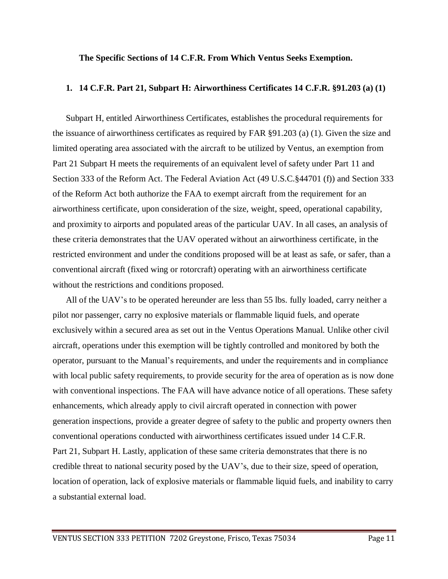### **The Specific Sections of 14 C.F.R. From Which Ventus Seeks Exemption.**

### **1. 14 C.F.R. Part 21, Subpart H: Airworthiness Certificates 14 C.F.R. §91.203 (a) (1)**

Subpart H, entitled Airworthiness Certificates, establishes the procedural requirements for the issuance of airworthiness certificates as required by FAR §91.203 (a) (1). Given the size and limited operating area associated with the aircraft to be utilized by Ventus, an exemption from Part 21 Subpart H meets the requirements of an equivalent level of safety under Part 11 and Section 333 of the Reform Act. The Federal Aviation Act (49 U.S.C.§44701 (f)) and Section 333 of the Reform Act both authorize the FAA to exempt aircraft from the requirement for an airworthiness certificate, upon consideration of the size, weight, speed, operational capability, and proximity to airports and populated areas of the particular UAV. In all cases, an analysis of these criteria demonstrates that the UAV operated without an airworthiness certificate, in the restricted environment and under the conditions proposed will be at least as safe, or safer, than a conventional aircraft (fixed wing or rotorcraft) operating with an airworthiness certificate without the restrictions and conditions proposed.

All of the UAV's to be operated hereunder are less than 55 lbs. fully loaded, carry neither a pilot nor passenger, carry no explosive materials or flammable liquid fuels, and operate exclusively within a secured area as set out in the Ventus Operations Manual. Unlike other civil aircraft, operations under this exemption will be tightly controlled and monitored by both the operator, pursuant to the Manual's requirements, and under the requirements and in compliance with local public safety requirements, to provide security for the area of operation as is now done with conventional inspections. The FAA will have advance notice of all operations. These safety enhancements, which already apply to civil aircraft operated in connection with power generation inspections, provide a greater degree of safety to the public and property owners then conventional operations conducted with airworthiness certificates issued under 14 C.F.R. Part 21, Subpart H. Lastly, application of these same criteria demonstrates that there is no credible threat to national security posed by the UAV's, due to their size, speed of operation, location of operation, lack of explosive materials or flammable liquid fuels, and inability to carry a substantial external load.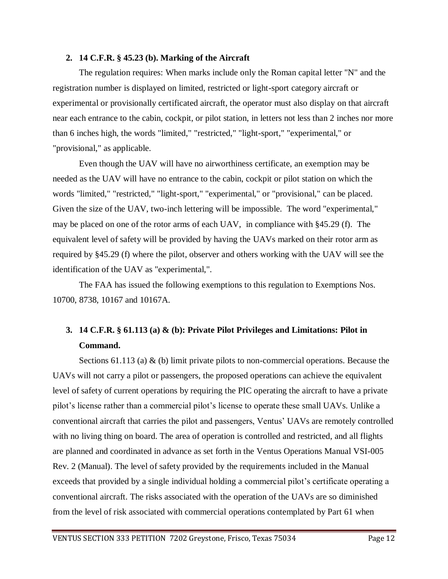### **2. 14 C.F.R. § 45.23 (b). Marking of the Aircraft**

The regulation requires: When marks include only the Roman capital letter "N" and the registration number is displayed on limited, restricted or light-sport category aircraft or experimental or provisionally certificated aircraft, the operator must also display on that aircraft near each entrance to the cabin, cockpit, or pilot station, in letters not less than 2 inches nor more than 6 inches high, the words "limited," "restricted," "light-sport," "experimental," or "provisional," as applicable.

Even though the UAV will have no airworthiness certificate, an exemption may be needed as the UAV will have no entrance to the cabin, cockpit or pilot station on which the words "limited," "restricted," "light-sport," "experimental," or "provisional," can be placed. Given the size of the UAV, two-inch lettering will be impossible. The word "experimental," may be placed on one of the rotor arms of each UAV, in compliance with §45.29 (f). The equivalent level of safety will be provided by having the UAVs marked on their rotor arm as required by §45.29 (f) where the pilot, observer and others working with the UAV will see the identification of the UAV as "experimental,".

The FAA has issued the following exemptions to this regulation to Exemptions Nos. 10700, 8738, 10167 and 10167A.

# **3. 14 C.F.R. § 61.113 (a) & (b): Private Pilot Privileges and Limitations: Pilot in Command.**

Sections 61.113 (a)  $\&$  (b) limit private pilots to non-commercial operations. Because the UAVs will not carry a pilot or passengers, the proposed operations can achieve the equivalent level of safety of current operations by requiring the PIC operating the aircraft to have a private pilot's license rather than a commercial pilot's license to operate these small UAVs. Unlike a conventional aircraft that carries the pilot and passengers, Ventus' UAVs are remotely controlled with no living thing on board. The area of operation is controlled and restricted, and all flights are planned and coordinated in advance as set forth in the Ventus Operations Manual VSI-005 Rev. 2 (Manual). The level of safety provided by the requirements included in the Manual exceeds that provided by a single individual holding a commercial pilot's certificate operating a conventional aircraft. The risks associated with the operation of the UAVs are so diminished from the level of risk associated with commercial operations contemplated by Part 61 when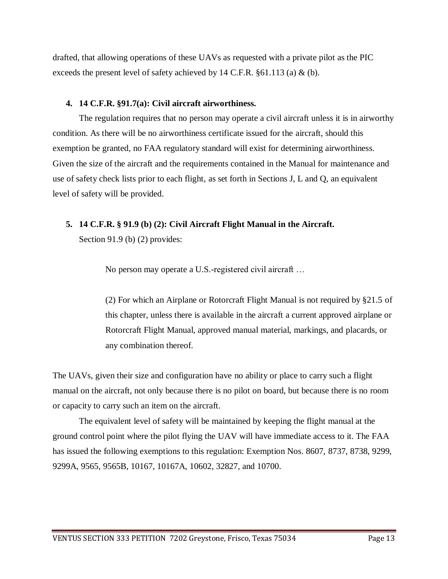drafted, that allowing operations of these UAVs as requested with a private pilot as the PIC exceeds the present level of safety achieved by 14 C.F.R.  $\S61.113$  (a) & (b).

# **4. 14 C.F.R. §91.7(a): Civil aircraft airworthiness.**

The regulation requires that no person may operate a civil aircraft unless it is in airworthy condition. As there will be no airworthiness certificate issued for the aircraft, should this exemption be granted, no FAA regulatory standard will exist for determining airworthiness. Given the size of the aircraft and the requirements contained in the Manual for maintenance and use of safety check lists prior to each flight, as set forth in Sections J, L and Q, an equivalent level of safety will be provided.

# **5. 14 C.F.R. § 91.9 (b) (2): Civil Aircraft Flight Manual in the Aircraft.**

Section 91.9 (b) (2) provides:

No person may operate a U.S.-registered civil aircraft …

(2) For which an Airplane or Rotorcraft Flight Manual is not required by §21.5 of this chapter, unless there is available in the aircraft a current approved airplane or Rotorcraft Flight Manual, approved manual material, markings, and placards, or any combination thereof.

The UAVs, given their size and configuration have no ability or place to carry such a flight manual on the aircraft, not only because there is no pilot on board, but because there is no room or capacity to carry such an item on the aircraft.

The equivalent level of safety will be maintained by keeping the flight manual at the ground control point where the pilot flying the UAV will have immediate access to it. The FAA has issued the following exemptions to this regulation: Exemption Nos. 8607, 8737, 8738, 9299, 9299A, 9565, 9565B, 10167, 10167A, 10602, 32827, and 10700.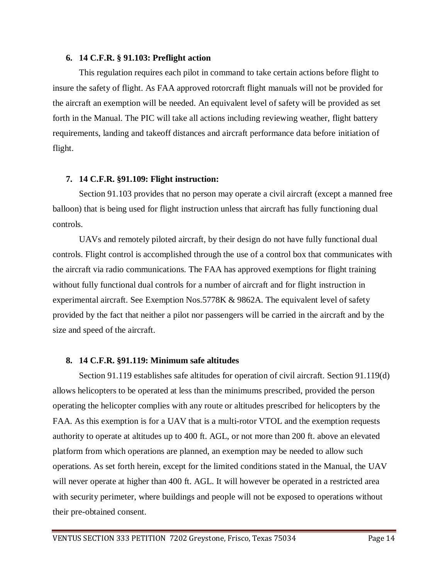### **6. 14 C.F.R. § 91.103: Preflight action**

This regulation requires each pilot in command to take certain actions before flight to insure the safety of flight. As FAA approved rotorcraft flight manuals will not be provided for the aircraft an exemption will be needed. An equivalent level of safety will be provided as set forth in the Manual. The PIC will take all actions including reviewing weather, flight battery requirements, landing and takeoff distances and aircraft performance data before initiation of flight.

# **7. 14 C.F.R. §91.109: Flight instruction:**

Section 91.103 provides that no person may operate a civil aircraft (except a manned free balloon) that is being used for flight instruction unless that aircraft has fully functioning dual controls.

UAVs and remotely piloted aircraft, by their design do not have fully functional dual controls. Flight control is accomplished through the use of a control box that communicates with the aircraft via radio communications. The FAA has approved exemptions for flight training without fully functional dual controls for a number of aircraft and for flight instruction in experimental aircraft. See Exemption Nos.5778K & 9862A. The equivalent level of safety provided by the fact that neither a pilot nor passengers will be carried in the aircraft and by the size and speed of the aircraft.

## **8. 14 C.F.R. §91.119: Minimum safe altitudes**

Section 91.119 establishes safe altitudes for operation of civil aircraft. Section 91.119(d) allows helicopters to be operated at less than the minimums prescribed, provided the person operating the helicopter complies with any route or altitudes prescribed for helicopters by the FAA. As this exemption is for a UAV that is a multi-rotor VTOL and the exemption requests authority to operate at altitudes up to 400 ft. AGL, or not more than 200 ft. above an elevated platform from which operations are planned, an exemption may be needed to allow such operations. As set forth herein, except for the limited conditions stated in the Manual, the UAV will never operate at higher than 400 ft. AGL. It will however be operated in a restricted area with security perimeter, where buildings and people will not be exposed to operations without their pre-obtained consent.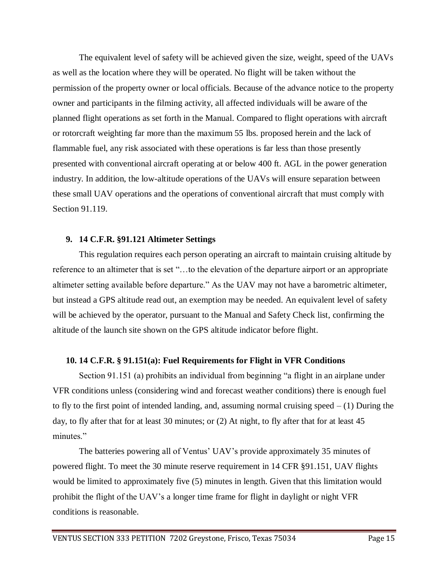The equivalent level of safety will be achieved given the size, weight, speed of the UAVs as well as the location where they will be operated. No flight will be taken without the permission of the property owner or local officials. Because of the advance notice to the property owner and participants in the filming activity, all affected individuals will be aware of the planned flight operations as set forth in the Manual. Compared to flight operations with aircraft or rotorcraft weighting far more than the maximum 55 lbs. proposed herein and the lack of flammable fuel, any risk associated with these operations is far less than those presently presented with conventional aircraft operating at or below 400 ft. AGL in the power generation industry. In addition, the low-altitude operations of the UAVs will ensure separation between these small UAV operations and the operations of conventional aircraft that must comply with Section 91.119.

## **9. 14 C.F.R. §91.121 Altimeter Settings**

This regulation requires each person operating an aircraft to maintain cruising altitude by reference to an altimeter that is set "…to the elevation of the departure airport or an appropriate altimeter setting available before departure." As the UAV may not have a barometric altimeter, but instead a GPS altitude read out, an exemption may be needed. An equivalent level of safety will be achieved by the operator, pursuant to the Manual and Safety Check list, confirming the altitude of the launch site shown on the GPS altitude indicator before flight.

## **10. 14 C.F.R. § 91.151(a): Fuel Requirements for Flight in VFR Conditions**

Section 91.151 (a) prohibits an individual from beginning "a flight in an airplane under VFR conditions unless (considering wind and forecast weather conditions) there is enough fuel to fly to the first point of intended landing, and, assuming normal cruising speed  $- (1)$  During the day, to fly after that for at least 30 minutes; or (2) At night, to fly after that for at least 45 minutes."

The batteries powering all of Ventus' UAV's provide approximately 35 minutes of powered flight. To meet the 30 minute reserve requirement in 14 CFR §91.151, UAV flights would be limited to approximately five (5) minutes in length. Given that this limitation would prohibit the flight of the UAV's a longer time frame for flight in daylight or night VFR conditions is reasonable.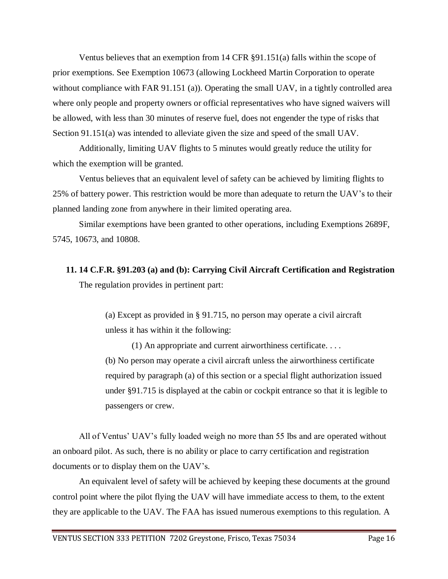Ventus believes that an exemption from 14 CFR §91.151(a) falls within the scope of prior exemptions. See Exemption 10673 (allowing Lockheed Martin Corporation to operate without compliance with FAR 91.151 (a)). Operating the small UAV, in a tightly controlled area where only people and property owners or official representatives who have signed waivers will be allowed, with less than 30 minutes of reserve fuel, does not engender the type of risks that Section 91.151(a) was intended to alleviate given the size and speed of the small UAV.

Additionally, limiting UAV flights to 5 minutes would greatly reduce the utility for which the exemption will be granted.

Ventus believes that an equivalent level of safety can be achieved by limiting flights to 25% of battery power. This restriction would be more than adequate to return the UAV's to their planned landing zone from anywhere in their limited operating area.

Similar exemptions have been granted to other operations, including Exemptions 2689F, 5745, 10673, and 10808.

**11. 14 C.F.R. §91.203 (a) and (b): Carrying Civil Aircraft Certification and Registration** The regulation provides in pertinent part:

> (a) Except as provided in § 91.715, no person may operate a civil aircraft unless it has within it the following:

(1) An appropriate and current airworthiness certificate. . . . (b) No person may operate a civil aircraft unless the airworthiness certificate required by paragraph (a) of this section or a special flight authorization issued under §91.715 is displayed at the cabin or cockpit entrance so that it is legible to passengers or crew.

All of Ventus' UAV's fully loaded weigh no more than 55 lbs and are operated without an onboard pilot. As such, there is no ability or place to carry certification and registration documents or to display them on the UAV's.

An equivalent level of safety will be achieved by keeping these documents at the ground control point where the pilot flying the UAV will have immediate access to them, to the extent they are applicable to the UAV. The FAA has issued numerous exemptions to this regulation. A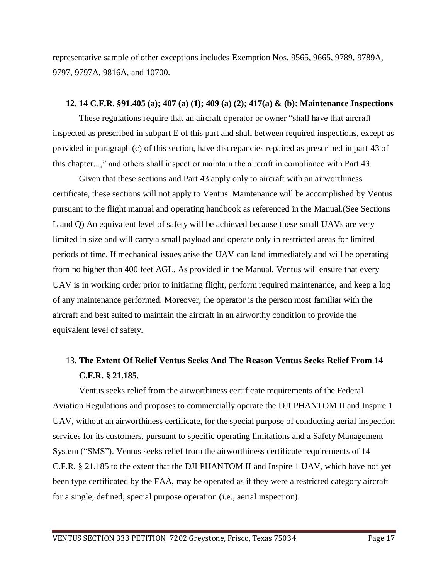representative sample of other exceptions includes Exemption Nos. 9565, 9665, 9789, 9789A, 9797, 9797A, 9816A, and 10700.

### **12. 14 C.F.R. §91.405 (a); 407 (a) (1); 409 (a) (2); 417(a) & (b): Maintenance Inspections**

These regulations require that an aircraft operator or owner "shall have that aircraft inspected as prescribed in subpart E of this part and shall between required inspections, except as provided in paragraph (c) of this section, have discrepancies repaired as prescribed in part 43 of this chapter...," and others shall inspect or maintain the aircraft in compliance with Part 43.

Given that these sections and Part 43 apply only to aircraft with an airworthiness certificate, these sections will not apply to Ventus. Maintenance will be accomplished by Ventus pursuant to the flight manual and operating handbook as referenced in the Manual.(See Sections L and Q) An equivalent level of safety will be achieved because these small UAVs are very limited in size and will carry a small payload and operate only in restricted areas for limited periods of time. If mechanical issues arise the UAV can land immediately and will be operating from no higher than 400 feet AGL. As provided in the Manual, Ventus will ensure that every UAV is in working order prior to initiating flight, perform required maintenance, and keep a log of any maintenance performed. Moreover, the operator is the person most familiar with the aircraft and best suited to maintain the aircraft in an airworthy condition to provide the equivalent level of safety.

# 13. **The Extent Of Relief Ventus Seeks And The Reason Ventus Seeks Relief From 14 C.F.R. § 21.185.**

Ventus seeks relief from the airworthiness certificate requirements of the Federal Aviation Regulations and proposes to commercially operate the DJI PHANTOM II and Inspire 1 UAV, without an airworthiness certificate, for the special purpose of conducting aerial inspection services for its customers, pursuant to specific operating limitations and a Safety Management System ("SMS"). Ventus seeks relief from the airworthiness certificate requirements of 14 C.F.R. § 21.185 to the extent that the DJI PHANTOM II and Inspire 1 UAV, which have not yet been type certificated by the FAA, may be operated as if they were a restricted category aircraft for a single, defined, special purpose operation (i.e., aerial inspection).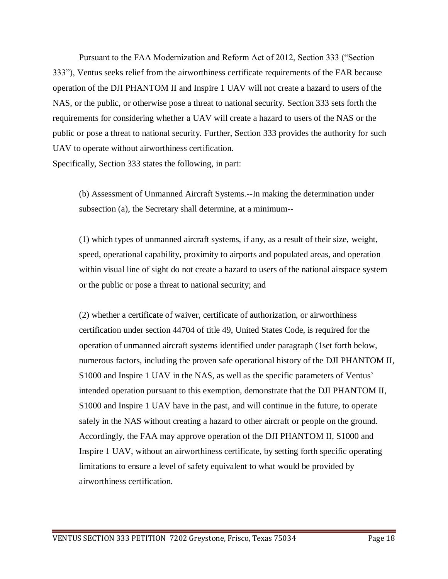Pursuant to the FAA Modernization and Reform Act of 2012, Section 333 ("Section 333"), Ventus seeks relief from the airworthiness certificate requirements of the FAR because operation of the DJI PHANTOM II and Inspire 1 UAV will not create a hazard to users of the NAS, or the public, or otherwise pose a threat to national security. Section 333 sets forth the requirements for considering whether a UAV will create a hazard to users of the NAS or the public or pose a threat to national security. Further, Section 333 provides the authority for such UAV to operate without airworthiness certification.

Specifically, Section 333 states the following, in part:

(b) Assessment of Unmanned Aircraft Systems.--In making the determination under subsection (a), the Secretary shall determine, at a minimum--

(1) which types of unmanned aircraft systems, if any, as a result of their size, weight, speed, operational capability, proximity to airports and populated areas, and operation within visual line of sight do not create a hazard to users of the national airspace system or the public or pose a threat to national security; and

(2) whether a certificate of waiver, certificate of authorization, or airworthiness certification under section 44704 of title 49, United States Code, is required for the operation of unmanned aircraft systems identified under paragraph (1set forth below, numerous factors, including the proven safe operational history of the DJI PHANTOM II, S1000 and Inspire 1 UAV in the NAS, as well as the specific parameters of Ventus' intended operation pursuant to this exemption, demonstrate that the DJI PHANTOM II, S1000 and Inspire 1 UAV have in the past, and will continue in the future, to operate safely in the NAS without creating a hazard to other aircraft or people on the ground. Accordingly, the FAA may approve operation of the DJI PHANTOM II, S1000 and Inspire 1 UAV, without an airworthiness certificate, by setting forth specific operating limitations to ensure a level of safety equivalent to what would be provided by airworthiness certification.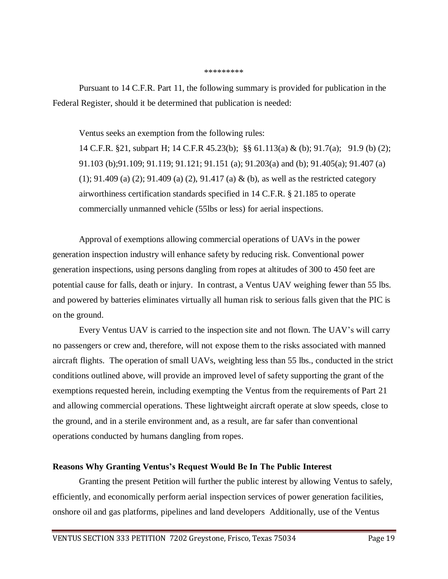#### \*\*\*\*\*\*\*\*\*

Pursuant to 14 C.F.R. Part 11, the following summary is provided for publication in the Federal Register, should it be determined that publication is needed:

Ventus seeks an exemption from the following rules:

14 C.F.R. §21, subpart H; 14 C.F.R 45.23(b); §§ 61.113(a) & (b); 91.7(a); 91.9 (b) (2); 91.103 (b);91.109; 91.119; 91.121; 91.151 (a); 91.203(a) and (b); 91.405(a); 91.407 (a) (1); 91.409 (a) (2); 91.409 (a) (2), 91.417 (a) & (b), as well as the restricted category airworthiness certification standards specified in 14 C.F.R. § 21.185 to operate commercially unmanned vehicle (55lbs or less) for aerial inspections.

Approval of exemptions allowing commercial operations of UAVs in the power generation inspection industry will enhance safety by reducing risk. Conventional power generation inspections, using persons dangling from ropes at altitudes of 300 to 450 feet are potential cause for falls, death or injury. In contrast, a Ventus UAV weighing fewer than 55 lbs. and powered by batteries eliminates virtually all human risk to serious falls given that the PIC is on the ground.

Every Ventus UAV is carried to the inspection site and not flown. The UAV's will carry no passengers or crew and, therefore, will not expose them to the risks associated with manned aircraft flights. The operation of small UAVs, weighting less than 55 lbs., conducted in the strict conditions outlined above, will provide an improved level of safety supporting the grant of the exemptions requested herein, including exempting the Ventus from the requirements of Part 21 and allowing commercial operations. These lightweight aircraft operate at slow speeds, close to the ground, and in a sterile environment and, as a result, are far safer than conventional operations conducted by humans dangling from ropes.

## **Reasons Why Granting Ventus's Request Would Be In The Public Interest**

Granting the present Petition will further the public interest by allowing Ventus to safely, efficiently, and economically perform aerial inspection services of power generation facilities, onshore oil and gas platforms, pipelines and land developers Additionally, use of the Ventus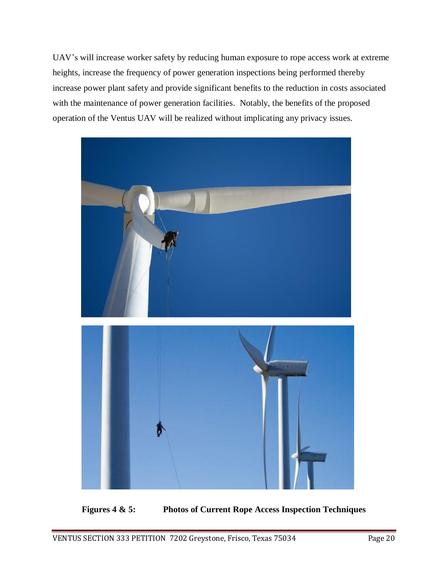UAV's will increase worker safety by reducing human exposure to rope access work at extreme heights, increase the frequency of power generation inspections being performed thereby increase power plant safety and provide significant benefits to the reduction in costs associated with the maintenance of power generation facilities. Notably, the benefits of the proposed operation of the Ventus UAV will be realized without implicating any privacy issues.



**Figures 4 & 5: Photos of Current Rope Access Inspection Techniques**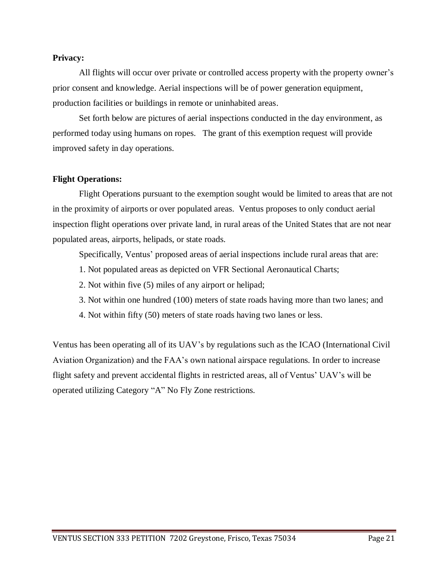### **Privacy:**

All flights will occur over private or controlled access property with the property owner's prior consent and knowledge. Aerial inspections will be of power generation equipment, production facilities or buildings in remote or uninhabited areas.

Set forth below are pictures of aerial inspections conducted in the day environment, as performed today using humans on ropes. The grant of this exemption request will provide improved safety in day operations.

## **Flight Operations:**

Flight Operations pursuant to the exemption sought would be limited to areas that are not in the proximity of airports or over populated areas. Ventus proposes to only conduct aerial inspection flight operations over private land, in rural areas of the United States that are not near populated areas, airports, helipads, or state roads.

Specifically, Ventus' proposed areas of aerial inspections include rural areas that are:

- 1. Not populated areas as depicted on VFR Sectional Aeronautical Charts;
- 2. Not within five (5) miles of any airport or helipad;
- 3. Not within one hundred (100) meters of state roads having more than two lanes; and
- 4. Not within fifty (50) meters of state roads having two lanes or less.

Ventus has been operating all of its UAV's by regulations such as the ICAO (International Civil Aviation Organization) and the FAA's own national airspace regulations. In order to increase flight safety and prevent accidental flights in restricted areas, all of Ventus' UAV's will be operated utilizing Category "A" No Fly Zone restrictions.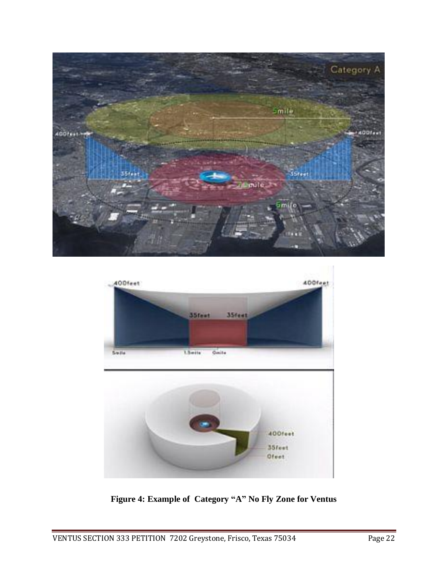



**Figure 4: Example of Category "A" No Fly Zone for Ventus**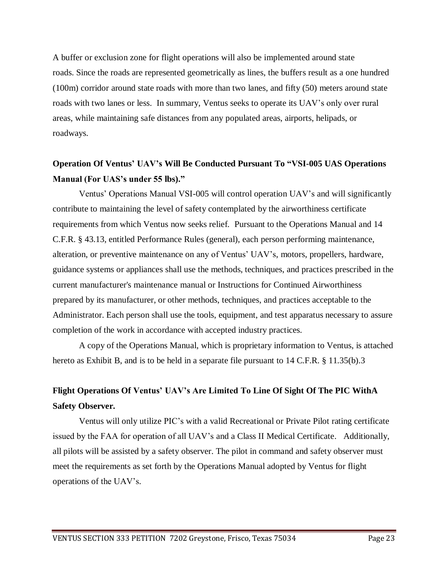A buffer or exclusion zone for flight operations will also be implemented around state roads. Since the roads are represented geometrically as lines, the buffers result as a one hundred (100m) corridor around state roads with more than two lanes, and fifty (50) meters around state roads with two lanes or less. In summary, Ventus seeks to operate its UAV's only over rural areas, while maintaining safe distances from any populated areas, airports, helipads, or roadways.

# **Operation Of Ventus' UAV's Will Be Conducted Pursuant To "VSI-005 UAS Operations Manual (For UAS's under 55 lbs)."**

Ventus' Operations Manual VSI-005 will control operation UAV's and will significantly contribute to maintaining the level of safety contemplated by the airworthiness certificate requirements from which Ventus now seeks relief. Pursuant to the Operations Manual and 14 C.F.R. § 43.13, entitled Performance Rules (general), each person performing maintenance, alteration, or preventive maintenance on any of Ventus' UAV's, motors, propellers, hardware, guidance systems or appliances shall use the methods, techniques, and practices prescribed in the current manufacturer's maintenance manual or Instructions for Continued Airworthiness prepared by its manufacturer, or other methods, techniques, and practices acceptable to the Administrator. Each person shall use the tools, equipment, and test apparatus necessary to assure completion of the work in accordance with accepted industry practices.

A copy of the Operations Manual, which is proprietary information to Ventus, is attached hereto as Exhibit B, and is to be held in a separate file pursuant to 14 C.F.R. § 11.35(b).3

# **Flight Operations Of Ventus' UAV's Are Limited To Line Of Sight Of The PIC WithA Safety Observer.**

Ventus will only utilize PIC's with a valid Recreational or Private Pilot rating certificate issued by the FAA for operation of all UAV's and a Class II Medical Certificate. Additionally, all pilots will be assisted by a safety observer. The pilot in command and safety observer must meet the requirements as set forth by the Operations Manual adopted by Ventus for flight operations of the UAV's.